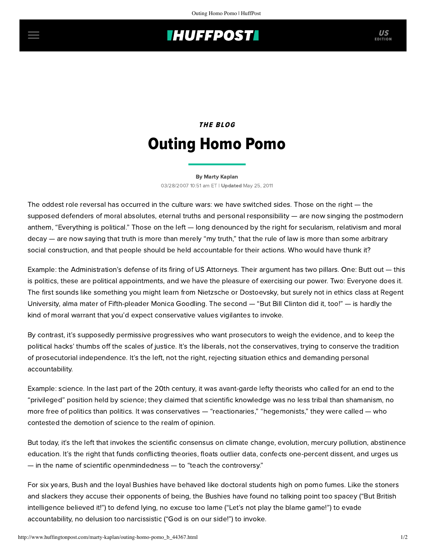## **THUFFPOST**

## THE BLOG Outing Homo Pomo

[By Marty Kaplan](http://www.huffingtonpost.com/author/marty-kaplan) 03/28/2007 10:51 am ET | Updated May 25, 2011

The oddest role reversal has occurred in the culture wars: we have switched sides. Those on the right — the supposed defenders of moral absolutes, eternal truths and personal responsibility — are now singing the postmodern anthem, "Everything is political." Those on the left — long denounced by the right for secularism, relativism and moral decay — are now saying that truth is more than merely "my truth," that the rule of law is more than some arbitrary social construction, and that people should be held accountable for their actions. Who would have thunk it?

Example: the Administration's defense of its firing of US Attorneys. Their argument has two pillars. One: Butt out — this is politics, these are political appointments, and we have the pleasure of exercising our power. Two: Everyone does it. The first sounds like something you might learn from Nietzsche or Dostoevsky, but surely not in ethics class at Regent University, alma mater of Fifth-pleader Monica Goodling. The second — "But Bill Clinton did it, too!" — is hardly the kind of moral warrant that you'd expect conservative values vigilantes to invoke.

By contrast, it's supposedly permissive progressives who want prosecutors to weigh the evidence, and to keep the political hacks' thumbs off the scales of justice. It's the liberals, not the conservatives, trying to conserve the tradition of prosecutorial independence. It's the left, not the right, rejecting situation ethics and demanding personal accountability.

Example: science. In the last part of the 20th century, it was avant-garde lefty theorists who called for an end to the "privileged" position held by science; they claimed that scientific knowledge was no less tribal than shamanism, no more free of politics than politics. It was conservatives — "reactionaries," "hegemonists," they were called — who contested the demotion of science to the realm of opinion.

But today, it's the left that invokes the scientific consensus on climate change, evolution, mercury pollution, abstinence education. It's the right that funds conflicting theories, floats outlier data, confects one-percent dissent, and urges us — in the name of scientific openmindedness — to "teach the controversy."

For six years, Bush and the loyal Bushies have behaved like doctoral students high on pomo fumes. Like the stoners and slackers they accuse their opponents of being, the Bushies have found no talking point too spacey ("But British intelligence believed it!") to defend lying, no excuse too lame ("Let's not play the blame game!") to evade accountability, no delusion too narcissistic ("God is on our side!") to invoke.